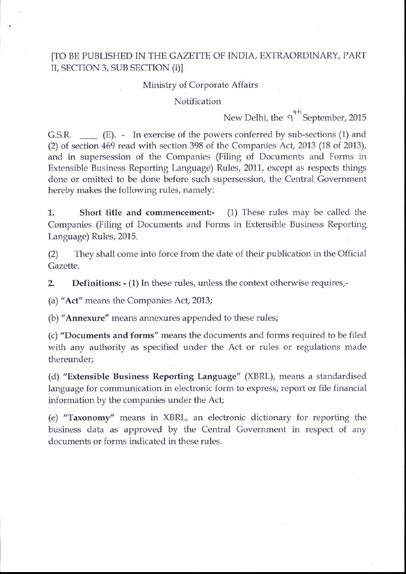## [TO BE PUBLISHED IN THE GAZETTE OF INDIA, EXTRAORDINARY, PART II, SECTION 3, SUB SECTION (i)]

## Ministry of Corporate Affairs

## Notification

New Delhi, the  $q^{\uparrow\uparrow}$  September, 2015

G.S.R.  $\qquad$  (E). - In exercise of the powers conferred by sub-sections (1) and (2) of section 469 read with section 398 of the Companies Act, 2013 (18 of 2013), and in supersession of the Companies (Filing of Documents and Forms in Extensible Business Reporting Language) Rules, 2011, except as respects things done or omitted to be done before such supersession, the Central Government hereby makes the following rules, namely:

1. Short title and commencement:- (1) These rules may be called the Companies (Filing of Documents and Forms in Extensible Business Reporting Language) Rules, 2015.

(2) They shall come into force from the date of their publication in the Official Gazette.

**2.** Definitions: - (1) In these rules, unless the context otherwise requires,-

(a) "Acf' means the Companies Act, 2013;

(b) "Annexure" means annexures appended to these rules;

(c) "Documents and forms" means the documents and forms required to be filed with any authority as specified under the Act or rules or regulations made thereunder;

(d) "Extensible Business Reporting Language" (XBRL), means a standardised language for communication in electronic form to express, report or file financial information by the companies under the Acf

(e) "Taxonomy" means in XBRL, an electronic dictionary for reporting the business data as approved by the Central Govemment in respect of any documents or forms indicated in these rules.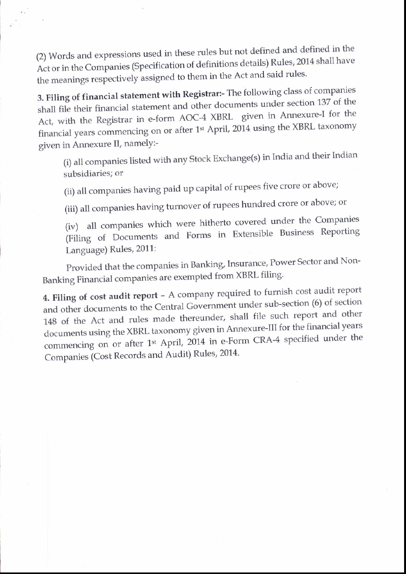(2) Words and expressions used in these rules but not defined and defined in the Act or in the Companies (Specification of definitions details) Rules, 2014 shall have the meanings respectively assigned to them in the Act and said rules.

 $\sim$  .

3. Filing of financial statement with Registrar:- The following class of companies shall file their financial statement and other documents under section 137 of the financial years commencing on or after 1<sup>st</sup> April, 2014 using the XBRL taxonomy Act, with the Registrar in e-form AOC-4 XBRL given in Annexure-I for the given in Annexure II, namelY:-

(i) all companies listed with any Stock Exchange(s) in India and their lndian subsidiaries; or

(ii) all companies having paid up capital of rupees five crore or above;

(iii) all companies having turnover of rupees hundred crore or above; or

(iv) all companies which were hitherto covered under the Companies (Filing ot l)ocuments and Forms in Extensible Business Reporting Language) Rules, 2011:

Provided that the companies in Banking, Insurance, Power Sector and Non-Banking Financial companies are exempted from XBRL filing'

4. Filing of cost audit report - A company required to furnish cost audit report and other documents to the Central Government under sub-section (6) of section 148 of the Act and rules made thereunder, shall file such report and other documents using the XBRL taxonomy given in Annexure-III for the financial years commencing on or after 1<sup>st</sup> April, 2014 in e-Form CRA-4 specified under the Companies (Cost Records and Audit) Rules, 2014.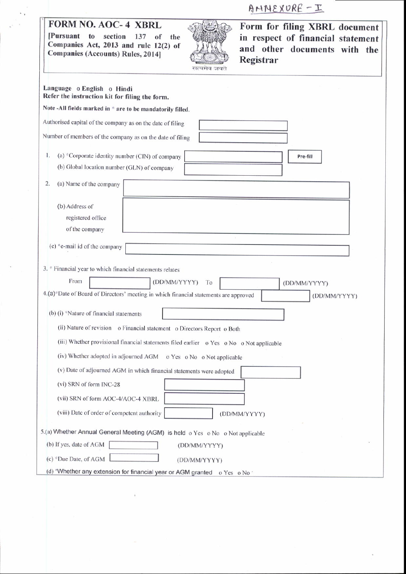AMMEXURE - I

| [Pursuant to                                          | <b>FORM NO. AOC- 4 XBRL</b><br>Form for filing XBRL document<br>section<br>137<br>of<br>in respect of financial statement<br>the<br>Companies Act, 2013 and rule 12(2) of<br>and other documents with the<br><b>Companies (Accounts) Rules, 2014]</b><br>Registrar<br>सल्यमय जयत |
|-------------------------------------------------------|----------------------------------------------------------------------------------------------------------------------------------------------------------------------------------------------------------------------------------------------------------------------------------|
| Language o English o Hindi                            | Refer the instruction kit for filing the form.                                                                                                                                                                                                                                   |
|                                                       | Note -All fields marked in * are to be mandatorily filled.                                                                                                                                                                                                                       |
|                                                       | Authorised capital of the company as on the date of filing                                                                                                                                                                                                                       |
|                                                       | Number of members of the company as on the date of filing                                                                                                                                                                                                                        |
| 1.                                                    | (a) *Corporate identity number (CIN) of company<br>Pre-fill<br>(b) Global location number (GLN) of company                                                                                                                                                                       |
| 2.<br>(a) Name of the company                         |                                                                                                                                                                                                                                                                                  |
| (b) Address of<br>registered office<br>of the company |                                                                                                                                                                                                                                                                                  |
| $(c)$ *e-mail id of the company                       | 3. * Financial year to which financial statements relates                                                                                                                                                                                                                        |
| From                                                  | (DD/MM/YYYY)<br>To<br>(DD/MM/YYYY)                                                                                                                                                                                                                                               |
|                                                       | 4.(a)*Date of Board of Directors' meeting in which financial statements are approved<br>(DD/MM/YYYY)                                                                                                                                                                             |
|                                                       | (b) (i) *Nature of financial statements                                                                                                                                                                                                                                          |
|                                                       | (ii) Nature of revision o Financial statement o Directors Report o Both                                                                                                                                                                                                          |
|                                                       | (iii) Whether provisional financial statements filed earlier o Yes o No o Not applicable                                                                                                                                                                                         |
|                                                       | (iv) Whether adopted in adjourned AGM o Yes o No o Not applicable                                                                                                                                                                                                                |
|                                                       | (v) Date of adjourned AGM in which financial statements were adopted                                                                                                                                                                                                             |
| (vi) SRN of form INC-28                               |                                                                                                                                                                                                                                                                                  |
|                                                       | (vii) SRN of form AOC-4/AOC-4 XBRL                                                                                                                                                                                                                                               |
|                                                       | (viii) Date of order of competent authority<br>(DD/MM/YYYY)                                                                                                                                                                                                                      |
|                                                       | 5.(a) Whether Annual General Meeting (AGM) is held o Yes o No o Not applicable                                                                                                                                                                                                   |
| (b) If yes, date of AGM                               | (DD/MM/YYYY)                                                                                                                                                                                                                                                                     |
| (c) *Due Date, of AGM                                 | (DD/MM/YYYY)                                                                                                                                                                                                                                                                     |
|                                                       | (d) *Whether any extension for financial year or AGM granted o Yes o No *                                                                                                                                                                                                        |